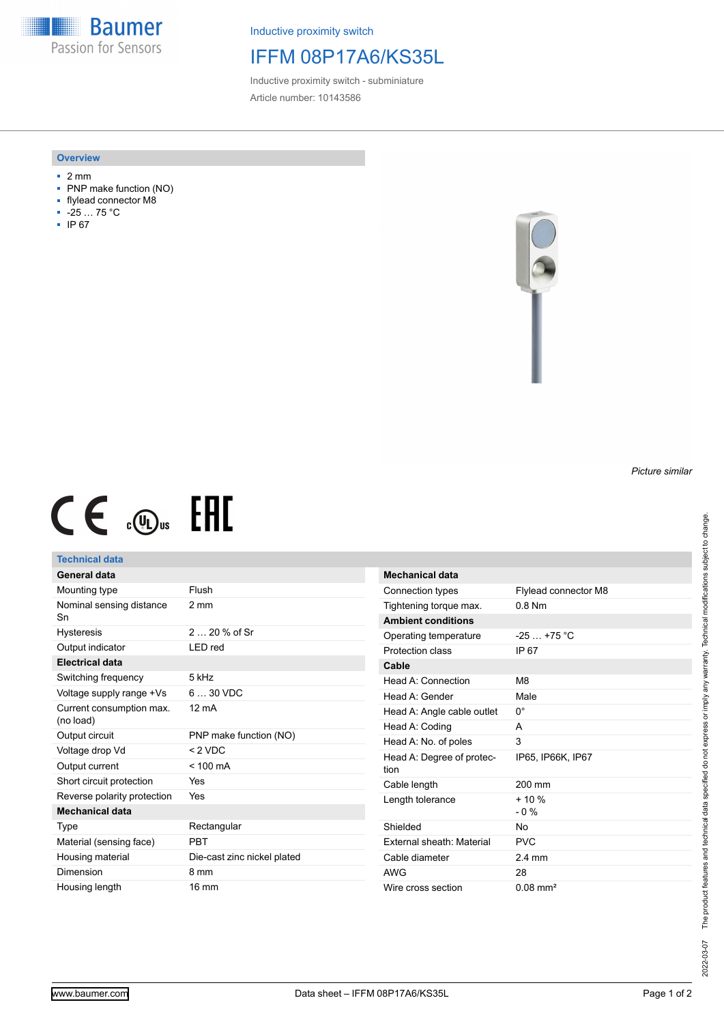**Baumer** Passion for Sensors

Inductive proximity switch

# IFFM 08P17A6/KS35L

Inductive proximity switch - subminiature Article number: 10143586

### **Overview**

- 2 mm
- PNP make function (NO)
- flylead connector M8
- -25 … 75 °C
- IP 67



# $CE \text{ and } CH$

## **Technical data**

| General data                          |                             |
|---------------------------------------|-----------------------------|
| Mounting type                         | Flush                       |
| Nominal sensing distance<br>Sn        | 2 mm                        |
| <b>Hysteresis</b>                     | 2 $20%$ of Sr               |
| Output indicator                      | LED red                     |
| <b>Electrical data</b>                |                             |
| Switching frequency                   | 5 kHz                       |
| Voltage supply range +Vs              | $630$ VDC                   |
| Current consumption max.<br>(no load) | $12 \text{ mA}$             |
| Output circuit                        | PNP make function (NO)      |
| Voltage drop Vd                       | $< 2$ VDC                   |
| Output current                        | $< 100 \text{ mA}$          |
| Short circuit protection              | Yes                         |
| Reverse polarity protection           | Yes                         |
| Mechanical data                       |                             |
| Type                                  | Rectangular                 |
| Material (sensing face)               | PRT                         |
| Housing material                      | Die-cast zinc nickel plated |
| Dimension                             | 8 mm                        |
| Housing length                        | $16 \text{ mm}$             |

| <b>Mechanical data</b>            |                             |
|-----------------------------------|-----------------------------|
| Connection types                  | <b>Flylead connector M8</b> |
| Tightening torque max.            | $0.8$ Nm                    |
| <b>Ambient conditions</b>         |                             |
| Operating temperature             | $-25$ $+75$ °C              |
| Protection class                  | IP 67                       |
| Cable                             |                             |
| Head A: Connection                | M <sub>8</sub>              |
| Head A: Gender                    | Male                        |
| Head A: Angle cable outlet        | 0°                          |
| Head A: Coding                    | А                           |
| Head A: No. of poles              | 3                           |
| Head A: Degree of protec-<br>tion | IP65, IP66K, IP67           |
| Cable length                      | 200 mm                      |
| Length tolerance                  | $+10%$<br>$-0\%$            |
| Shielded                          | Nο                          |
| External sheath: Material         | <b>PVC</b>                  |
| Cable diameter                    | $24$ mm                     |
| <b>AWG</b>                        | 28                          |
| Wire cross section                | $0.08$ mm <sup>2</sup>      |